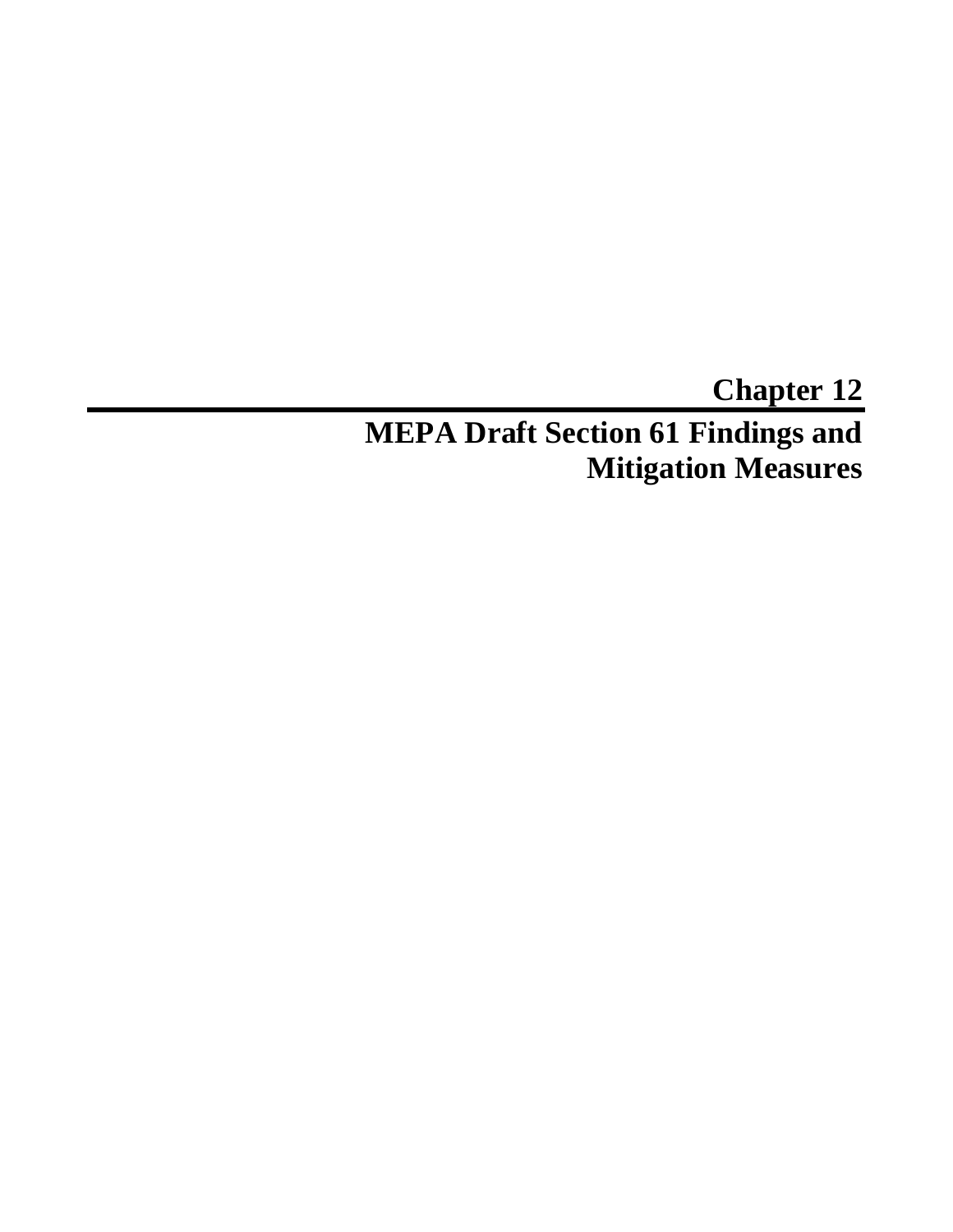# **Chapter 12 MEPA Draft Section 61 Findings and Mitigation Measures**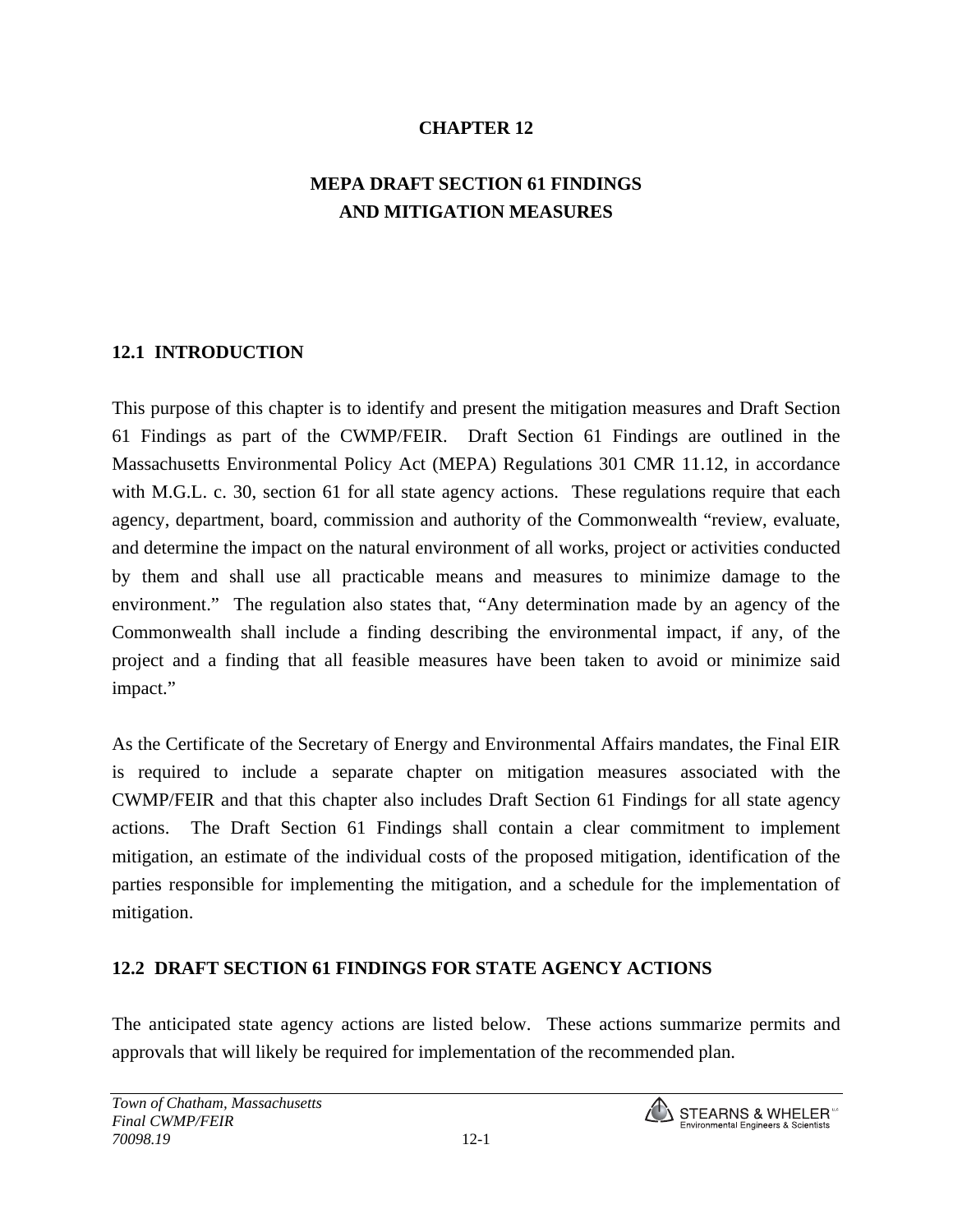### **CHAPTER 12**

# **MEPA DRAFT SECTION 61 FINDINGS AND MITIGATION MEASURES**

#### **12.1 INTRODUCTION**

This purpose of this chapter is to identify and present the mitigation measures and Draft Section 61 Findings as part of the CWMP/FEIR. Draft Section 61 Findings are outlined in the Massachusetts Environmental Policy Act (MEPA) Regulations 301 CMR 11.12, in accordance with M.G.L. c. 30, section 61 for all state agency actions. These regulations require that each agency, department, board, commission and authority of the Commonwealth "review, evaluate, and determine the impact on the natural environment of all works, project or activities conducted by them and shall use all practicable means and measures to minimize damage to the environment." The regulation also states that, "Any determination made by an agency of the Commonwealth shall include a finding describing the environmental impact, if any, of the project and a finding that all feasible measures have been taken to avoid or minimize said impact."

As the Certificate of the Secretary of Energy and Environmental Affairs mandates, the Final EIR is required to include a separate chapter on mitigation measures associated with the CWMP/FEIR and that this chapter also includes Draft Section 61 Findings for all state agency actions. The Draft Section 61 Findings shall contain a clear commitment to implement mitigation, an estimate of the individual costs of the proposed mitigation, identification of the parties responsible for implementing the mitigation, and a schedule for the implementation of mitigation.

#### **12.2 DRAFT SECTION 61 FINDINGS FOR STATE AGENCY ACTIONS**

The anticipated state agency actions are listed below. These actions summarize permits and approvals that will likely be required for implementation of the recommended plan.

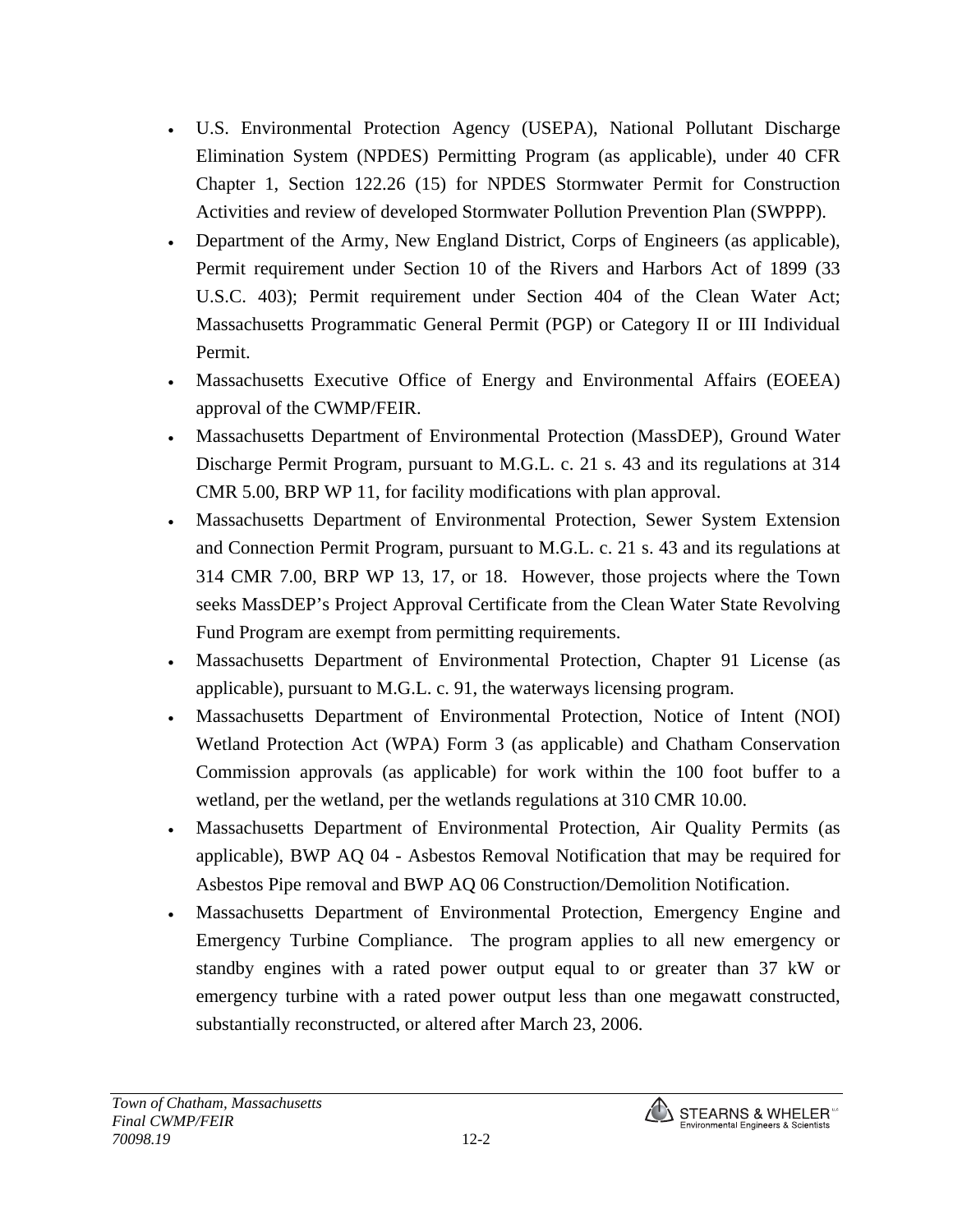- U.S. Environmental Protection Agency (USEPA), National Pollutant Discharge Elimination System (NPDES) Permitting Program (as applicable), under 40 CFR Chapter 1, Section 122.26 (15) for NPDES Stormwater Permit for Construction Activities and review of developed Stormwater Pollution Prevention Plan (SWPPP).
- Department of the Army, New England District, Corps of Engineers (as applicable), Permit requirement under Section 10 of the Rivers and Harbors Act of 1899 (33 U.S.C. 403); Permit requirement under Section 404 of the Clean Water Act; Massachusetts Programmatic General Permit (PGP) or Category II or III Individual Permit.
- Massachusetts Executive Office of Energy and Environmental Affairs (EOEEA) approval of the CWMP/FEIR.
- Massachusetts Department of Environmental Protection (MassDEP), Ground Water Discharge Permit Program, pursuant to M.G.L. c. 21 s. 43 and its regulations at 314 CMR 5.00, BRP WP 11, for facility modifications with plan approval.
- Massachusetts Department of Environmental Protection, Sewer System Extension and Connection Permit Program, pursuant to M.G.L. c. 21 s. 43 and its regulations at 314 CMR 7.00, BRP WP 13, 17, or 18. However, those projects where the Town seeks MassDEP's Project Approval Certificate from the Clean Water State Revolving Fund Program are exempt from permitting requirements.
- Massachusetts Department of Environmental Protection, Chapter 91 License (as applicable), pursuant to M.G.L. c. 91, the waterways licensing program.
- Massachusetts Department of Environmental Protection, Notice of Intent (NOI) Wetland Protection Act (WPA) Form 3 (as applicable) and Chatham Conservation Commission approvals (as applicable) for work within the 100 foot buffer to a wetland, per the wetland, per the wetlands regulations at 310 CMR 10.00.
- Massachusetts Department of Environmental Protection, Air Quality Permits (as applicable), BWP AQ 04 - Asbestos Removal Notification that may be required for Asbestos Pipe removal and BWP AQ 06 Construction/Demolition Notification.
- Massachusetts Department of Environmental Protection, Emergency Engine and Emergency Turbine Compliance. The program applies to all new emergency or standby engines with a rated power output equal to or greater than 37 kW or emergency turbine with a rated power output less than one megawatt constructed, substantially reconstructed, or altered after March 23, 2006.

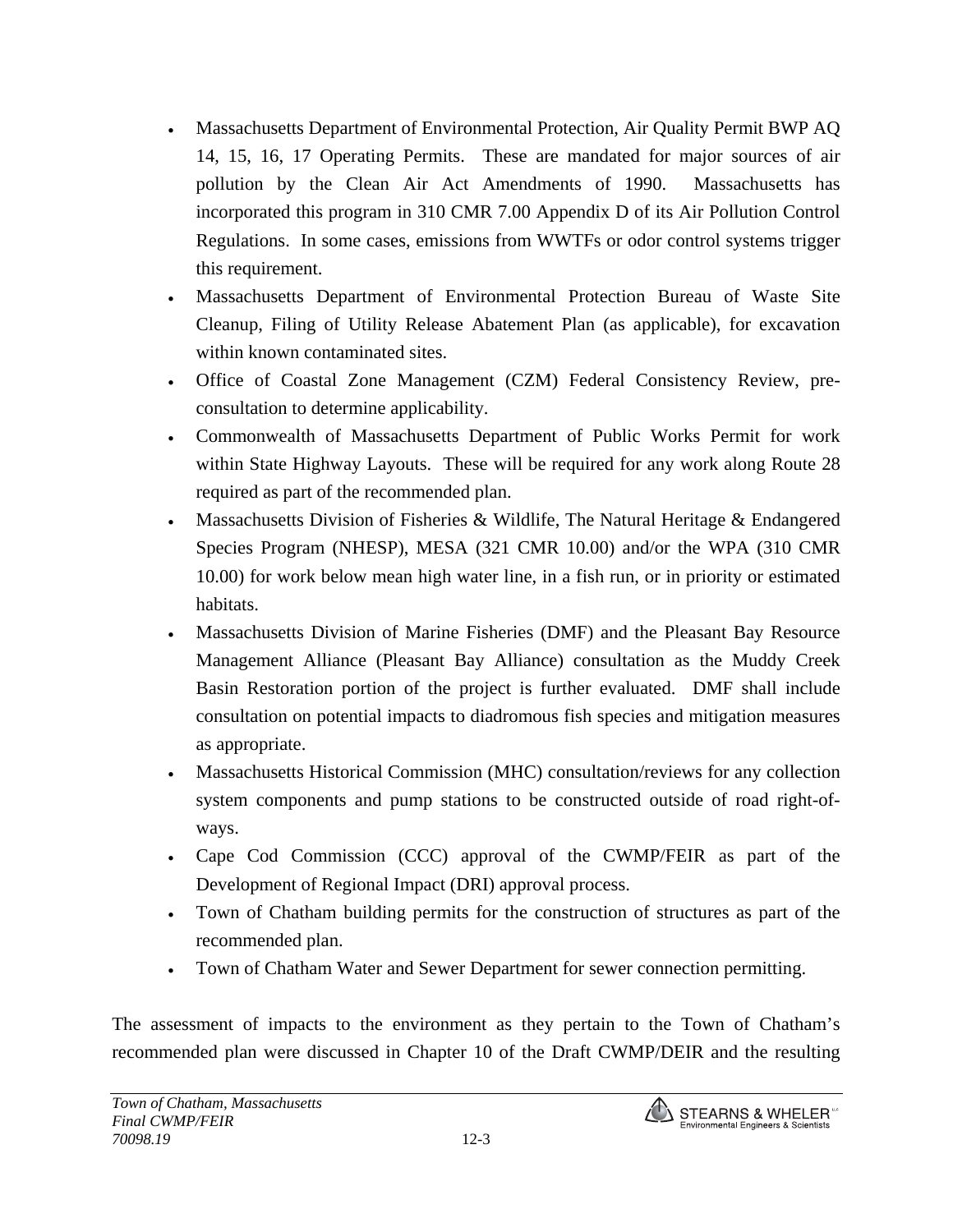- Massachusetts Department of Environmental Protection, Air Quality Permit BWP AQ 14, 15, 16, 17 Operating Permits. These are mandated for major sources of air pollution by the Clean Air Act Amendments of 1990. Massachusetts has incorporated this program in 310 CMR 7.00 Appendix D of its Air Pollution Control Regulations. In some cases, emissions from WWTFs or odor control systems trigger this requirement.
- Massachusetts Department of Environmental Protection Bureau of Waste Site Cleanup, Filing of Utility Release Abatement Plan (as applicable), for excavation within known contaminated sites.
- Office of Coastal Zone Management (CZM) Federal Consistency Review, preconsultation to determine applicability.
- Commonwealth of Massachusetts Department of Public Works Permit for work within State Highway Layouts. These will be required for any work along Route 28 required as part of the recommended plan.
- Massachusetts Division of Fisheries & Wildlife, The Natural Heritage & Endangered Species Program (NHESP), MESA (321 CMR 10.00) and/or the WPA (310 CMR 10.00) for work below mean high water line, in a fish run, or in priority or estimated habitats.
- Massachusetts Division of Marine Fisheries (DMF) and the Pleasant Bay Resource Management Alliance (Pleasant Bay Alliance) consultation as the Muddy Creek Basin Restoration portion of the project is further evaluated. DMF shall include consultation on potential impacts to diadromous fish species and mitigation measures as appropriate.
- Massachusetts Historical Commission (MHC) consultation/reviews for any collection system components and pump stations to be constructed outside of road right-ofways.
- Cape Cod Commission (CCC) approval of the CWMP/FEIR as part of the Development of Regional Impact (DRI) approval process.
- Town of Chatham building permits for the construction of structures as part of the recommended plan.
- Town of Chatham Water and Sewer Department for sewer connection permitting.

The assessment of impacts to the environment as they pertain to the Town of Chatham's recommended plan were discussed in Chapter 10 of the Draft CWMP/DEIR and the resulting

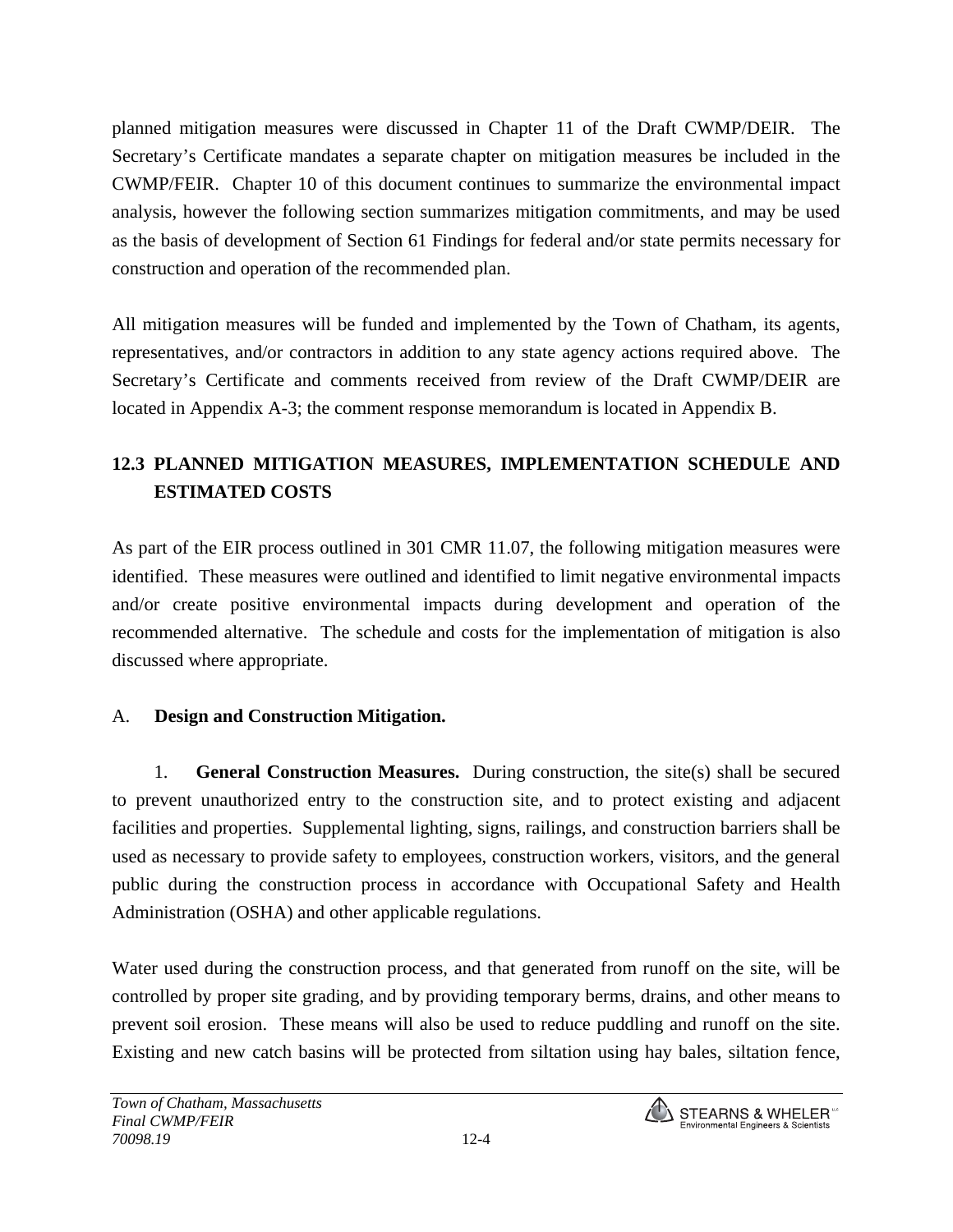planned mitigation measures were discussed in Chapter 11 of the Draft CWMP/DEIR. The Secretary's Certificate mandates a separate chapter on mitigation measures be included in the CWMP/FEIR. Chapter 10 of this document continues to summarize the environmental impact analysis, however the following section summarizes mitigation commitments, and may be used as the basis of development of Section 61 Findings for federal and/or state permits necessary for construction and operation of the recommended plan.

All mitigation measures will be funded and implemented by the Town of Chatham, its agents, representatives, and/or contractors in addition to any state agency actions required above. The Secretary's Certificate and comments received from review of the Draft CWMP/DEIR are located in Appendix A-3; the comment response memorandum is located in Appendix B.

# **12.3 PLANNED MITIGATION MEASURES, IMPLEMENTATION SCHEDULE AND ESTIMATED COSTS**

As part of the EIR process outlined in 301 CMR 11.07, the following mitigation measures were identified. These measures were outlined and identified to limit negative environmental impacts and/or create positive environmental impacts during development and operation of the recommended alternative. The schedule and costs for the implementation of mitigation is also discussed where appropriate.

#### A. **Design and Construction Mitigation.**

1. **General Construction Measures.** During construction, the site(s) shall be secured to prevent unauthorized entry to the construction site, and to protect existing and adjacent facilities and properties. Supplemental lighting, signs, railings, and construction barriers shall be used as necessary to provide safety to employees, construction workers, visitors, and the general public during the construction process in accordance with Occupational Safety and Health Administration (OSHA) and other applicable regulations.

Water used during the construction process, and that generated from runoff on the site, will be controlled by proper site grading, and by providing temporary berms, drains, and other means to prevent soil erosion. These means will also be used to reduce puddling and runoff on the site. Existing and new catch basins will be protected from siltation using hay bales, siltation fence,

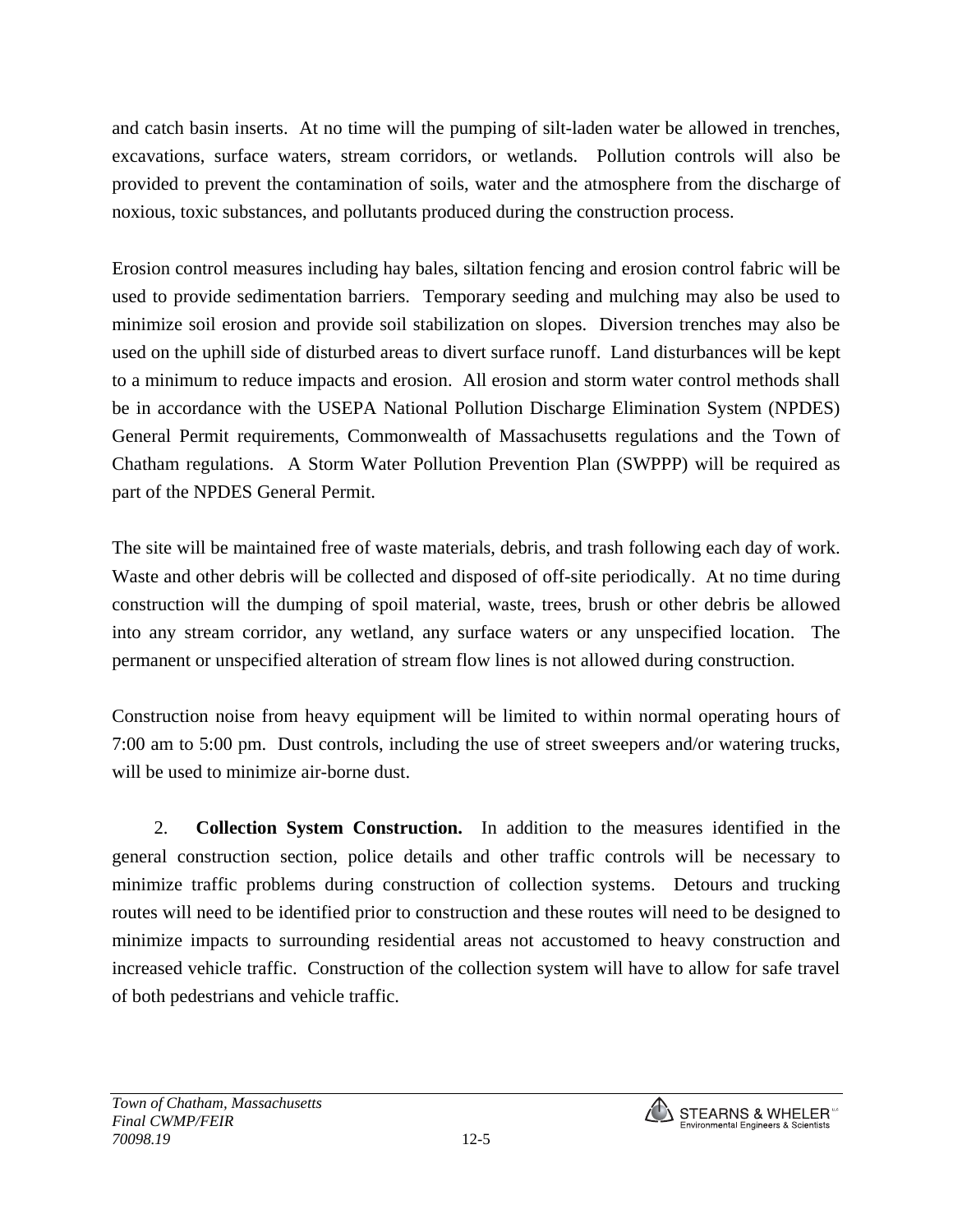and catch basin inserts. At no time will the pumping of silt-laden water be allowed in trenches, excavations, surface waters, stream corridors, or wetlands. Pollution controls will also be provided to prevent the contamination of soils, water and the atmosphere from the discharge of noxious, toxic substances, and pollutants produced during the construction process.

Erosion control measures including hay bales, siltation fencing and erosion control fabric will be used to provide sedimentation barriers. Temporary seeding and mulching may also be used to minimize soil erosion and provide soil stabilization on slopes. Diversion trenches may also be used on the uphill side of disturbed areas to divert surface runoff. Land disturbances will be kept to a minimum to reduce impacts and erosion. All erosion and storm water control methods shall be in accordance with the USEPA National Pollution Discharge Elimination System (NPDES) General Permit requirements, Commonwealth of Massachusetts regulations and the Town of Chatham regulations. A Storm Water Pollution Prevention Plan (SWPPP) will be required as part of the NPDES General Permit.

The site will be maintained free of waste materials, debris, and trash following each day of work. Waste and other debris will be collected and disposed of off-site periodically. At no time during construction will the dumping of spoil material, waste, trees, brush or other debris be allowed into any stream corridor, any wetland, any surface waters or any unspecified location. The permanent or unspecified alteration of stream flow lines is not allowed during construction.

Construction noise from heavy equipment will be limited to within normal operating hours of 7:00 am to 5:00 pm. Dust controls, including the use of street sweepers and/or watering trucks, will be used to minimize air-borne dust.

2. **Collection System Construction.** In addition to the measures identified in the general construction section, police details and other traffic controls will be necessary to minimize traffic problems during construction of collection systems. Detours and trucking routes will need to be identified prior to construction and these routes will need to be designed to minimize impacts to surrounding residential areas not accustomed to heavy construction and increased vehicle traffic. Construction of the collection system will have to allow for safe travel of both pedestrians and vehicle traffic.

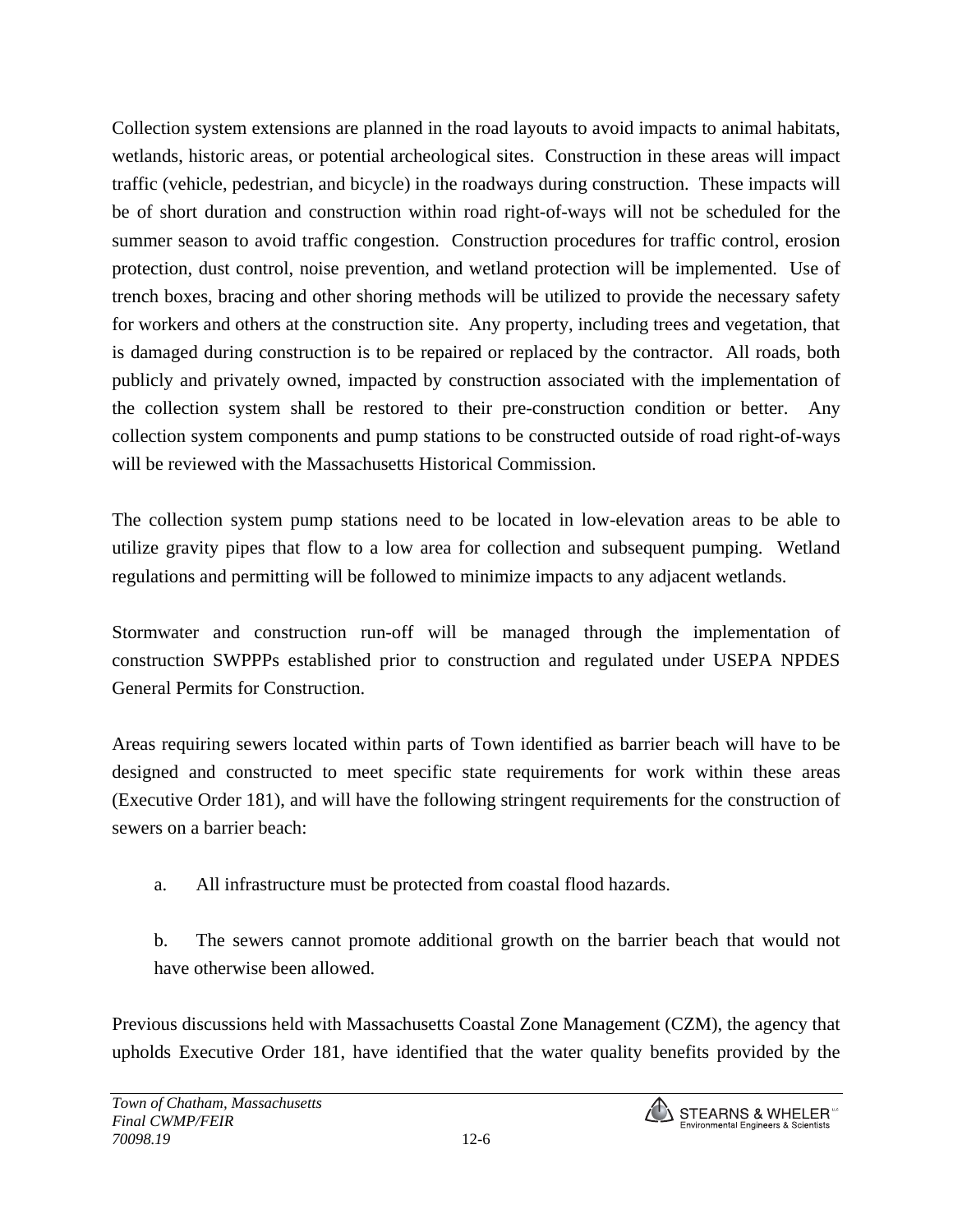Collection system extensions are planned in the road layouts to avoid impacts to animal habitats, wetlands, historic areas, or potential archeological sites. Construction in these areas will impact traffic (vehicle, pedestrian, and bicycle) in the roadways during construction. These impacts will be of short duration and construction within road right-of-ways will not be scheduled for the summer season to avoid traffic congestion. Construction procedures for traffic control, erosion protection, dust control, noise prevention, and wetland protection will be implemented. Use of trench boxes, bracing and other shoring methods will be utilized to provide the necessary safety for workers and others at the construction site. Any property, including trees and vegetation, that is damaged during construction is to be repaired or replaced by the contractor. All roads, both publicly and privately owned, impacted by construction associated with the implementation of the collection system shall be restored to their pre-construction condition or better. Any collection system components and pump stations to be constructed outside of road right-of-ways will be reviewed with the Massachusetts Historical Commission.

The collection system pump stations need to be located in low-elevation areas to be able to utilize gravity pipes that flow to a low area for collection and subsequent pumping. Wetland regulations and permitting will be followed to minimize impacts to any adjacent wetlands.

Stormwater and construction run-off will be managed through the implementation of construction SWPPPs established prior to construction and regulated under USEPA NPDES General Permits for Construction.

Areas requiring sewers located within parts of Town identified as barrier beach will have to be designed and constructed to meet specific state requirements for work within these areas (Executive Order 181), and will have the following stringent requirements for the construction of sewers on a barrier beach:

a. All infrastructure must be protected from coastal flood hazards.

b. The sewers cannot promote additional growth on the barrier beach that would not have otherwise been allowed.

Previous discussions held with Massachusetts Coastal Zone Management (CZM), the agency that upholds Executive Order 181, have identified that the water quality benefits provided by the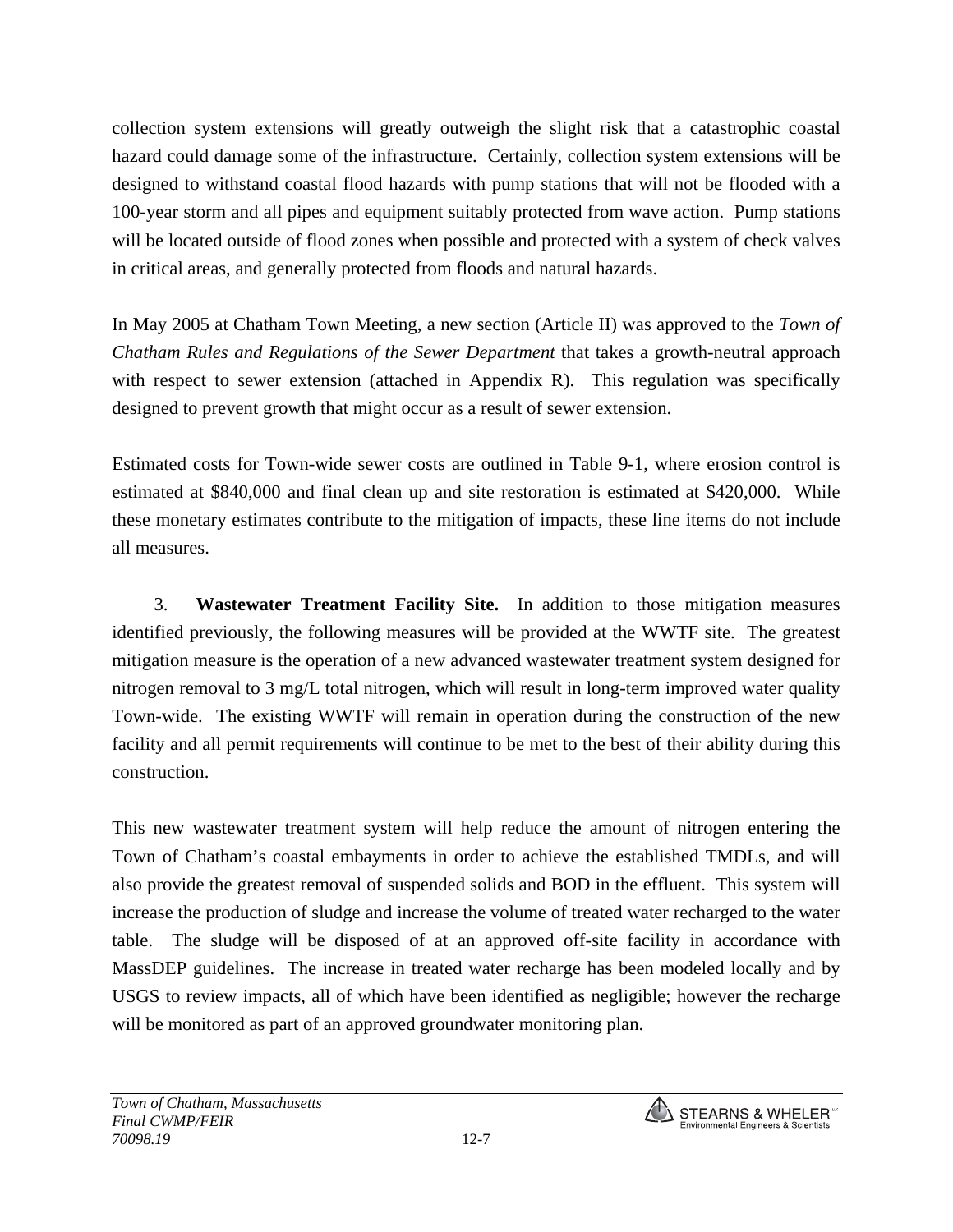collection system extensions will greatly outweigh the slight risk that a catastrophic coastal hazard could damage some of the infrastructure. Certainly, collection system extensions will be designed to withstand coastal flood hazards with pump stations that will not be flooded with a 100-year storm and all pipes and equipment suitably protected from wave action. Pump stations will be located outside of flood zones when possible and protected with a system of check valves in critical areas, and generally protected from floods and natural hazards.

In May 2005 at Chatham Town Meeting, a new section (Article II) was approved to the *Town of Chatham Rules and Regulations of the Sewer Department* that takes a growth-neutral approach with respect to sewer extension (attached in Appendix R). This regulation was specifically designed to prevent growth that might occur as a result of sewer extension.

Estimated costs for Town-wide sewer costs are outlined in Table 9-1, where erosion control is estimated at \$840,000 and final clean up and site restoration is estimated at \$420,000. While these monetary estimates contribute to the mitigation of impacts, these line items do not include all measures.

3. **Wastewater Treatment Facility Site.** In addition to those mitigation measures identified previously, the following measures will be provided at the WWTF site. The greatest mitigation measure is the operation of a new advanced wastewater treatment system designed for nitrogen removal to 3 mg/L total nitrogen, which will result in long-term improved water quality Town-wide. The existing WWTF will remain in operation during the construction of the new facility and all permit requirements will continue to be met to the best of their ability during this construction.

This new wastewater treatment system will help reduce the amount of nitrogen entering the Town of Chatham's coastal embayments in order to achieve the established TMDLs, and will also provide the greatest removal of suspended solids and BOD in the effluent. This system will increase the production of sludge and increase the volume of treated water recharged to the water table. The sludge will be disposed of at an approved off-site facility in accordance with MassDEP guidelines. The increase in treated water recharge has been modeled locally and by USGS to review impacts, all of which have been identified as negligible; however the recharge will be monitored as part of an approved groundwater monitoring plan.

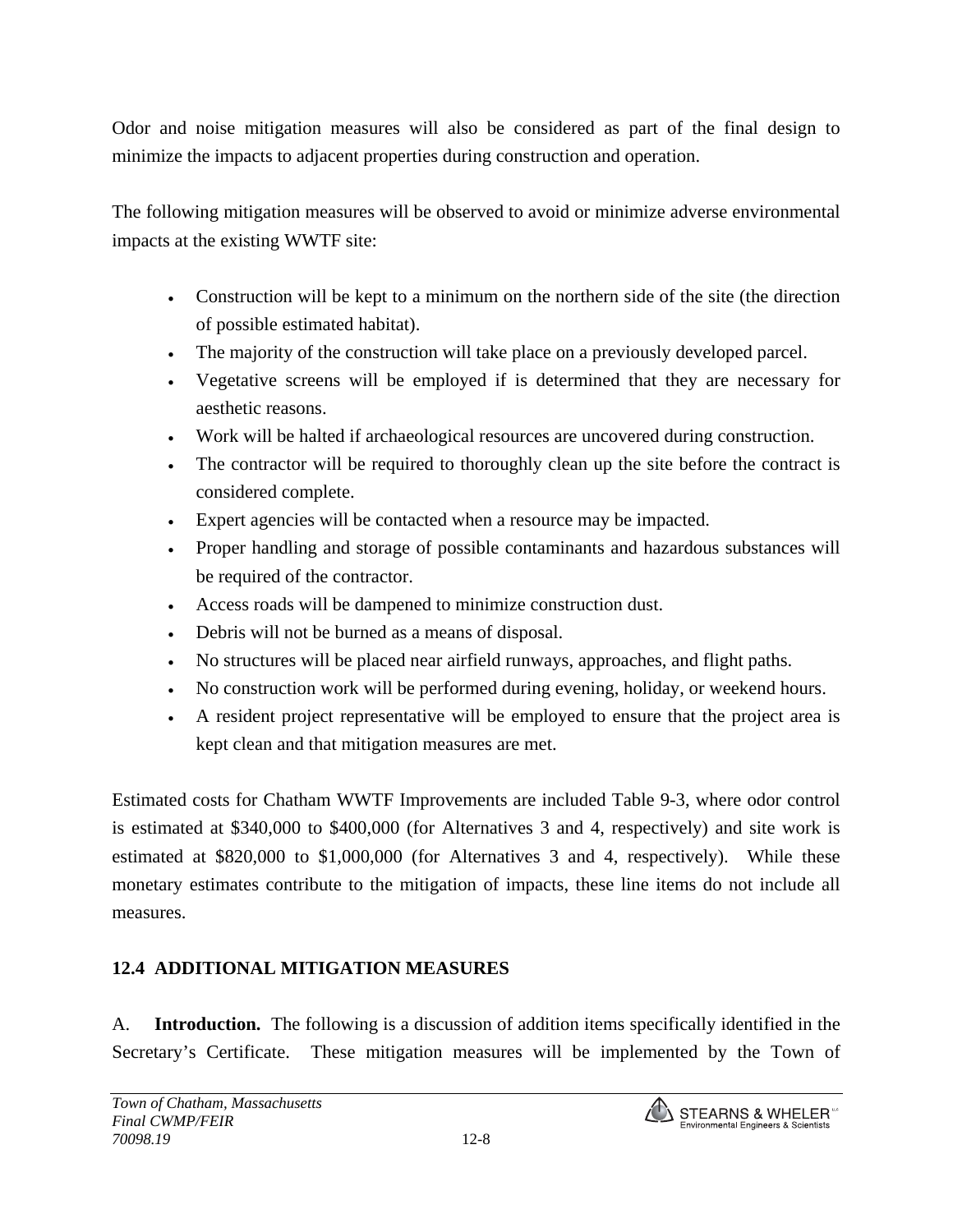Odor and noise mitigation measures will also be considered as part of the final design to minimize the impacts to adjacent properties during construction and operation.

The following mitigation measures will be observed to avoid or minimize adverse environmental impacts at the existing WWTF site:

- Construction will be kept to a minimum on the northern side of the site (the direction of possible estimated habitat).
- The majority of the construction will take place on a previously developed parcel.
- Vegetative screens will be employed if is determined that they are necessary for aesthetic reasons.
- Work will be halted if archaeological resources are uncovered during construction.
- The contractor will be required to thoroughly clean up the site before the contract is considered complete.
- Expert agencies will be contacted when a resource may be impacted.
- Proper handling and storage of possible contaminants and hazardous substances will be required of the contractor.
- Access roads will be dampened to minimize construction dust.
- Debris will not be burned as a means of disposal.
- No structures will be placed near airfield runways, approaches, and flight paths.
- No construction work will be performed during evening, holiday, or weekend hours.
- A resident project representative will be employed to ensure that the project area is kept clean and that mitigation measures are met.

Estimated costs for Chatham WWTF Improvements are included Table 9-3, where odor control is estimated at \$340,000 to \$400,000 (for Alternatives 3 and 4, respectively) and site work is estimated at \$820,000 to \$1,000,000 (for Alternatives 3 and 4, respectively). While these monetary estimates contribute to the mitigation of impacts, these line items do not include all measures.

## **12.4 ADDITIONAL MITIGATION MEASURES**

A. **Introduction.** The following is a discussion of addition items specifically identified in the Secretary's Certificate. These mitigation measures will be implemented by the Town of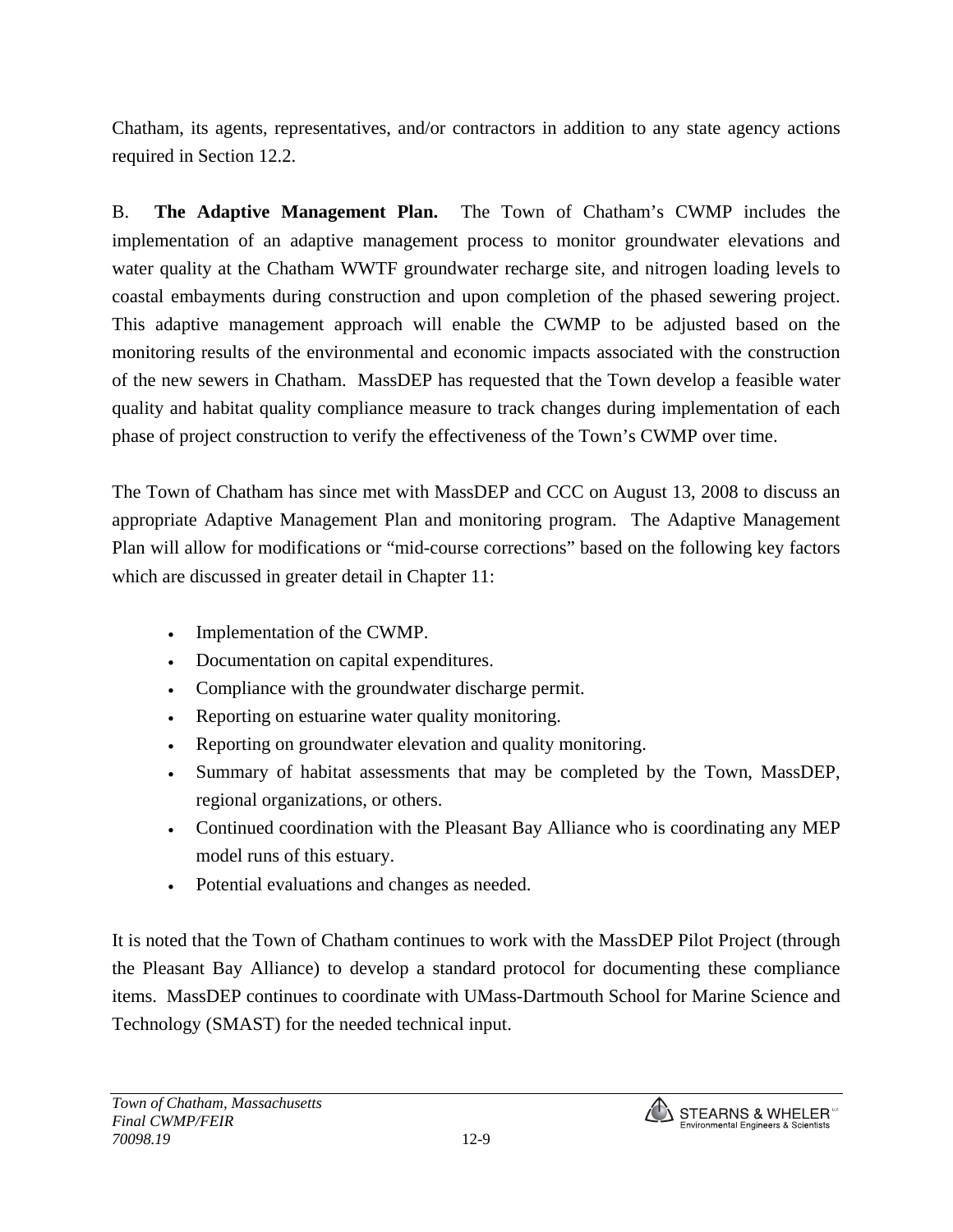Chatham, its agents, representatives, and/or contractors in addition to any state agency actions required in Section 12.2.

B. **The Adaptive Management Plan.** The Town of Chatham's CWMP includes the implementation of an adaptive management process to monitor groundwater elevations and water quality at the Chatham WWTF groundwater recharge site, and nitrogen loading levels to coastal embayments during construction and upon completion of the phased sewering project. This adaptive management approach will enable the CWMP to be adjusted based on the monitoring results of the environmental and economic impacts associated with the construction of the new sewers in Chatham. MassDEP has requested that the Town develop a feasible water quality and habitat quality compliance measure to track changes during implementation of each phase of project construction to verify the effectiveness of the Town's CWMP over time.

The Town of Chatham has since met with MassDEP and CCC on August 13, 2008 to discuss an appropriate Adaptive Management Plan and monitoring program. The Adaptive Management Plan will allow for modifications or "mid-course corrections" based on the following key factors which are discussed in greater detail in Chapter 11:

- Implementation of the CWMP.
- Documentation on capital expenditures.
- Compliance with the groundwater discharge permit.
- Reporting on estuarine water quality monitoring.
- Reporting on groundwater elevation and quality monitoring.
- Summary of habitat assessments that may be completed by the Town, MassDEP, regional organizations, or others.
- Continued coordination with the Pleasant Bay Alliance who is coordinating any MEP model runs of this estuary.
- Potential evaluations and changes as needed.

It is noted that the Town of Chatham continues to work with the MassDEP Pilot Project (through the Pleasant Bay Alliance) to develop a standard protocol for documenting these compliance items. MassDEP continues to coordinate with UMass-Dartmouth School for Marine Science and Technology (SMAST) for the needed technical input.

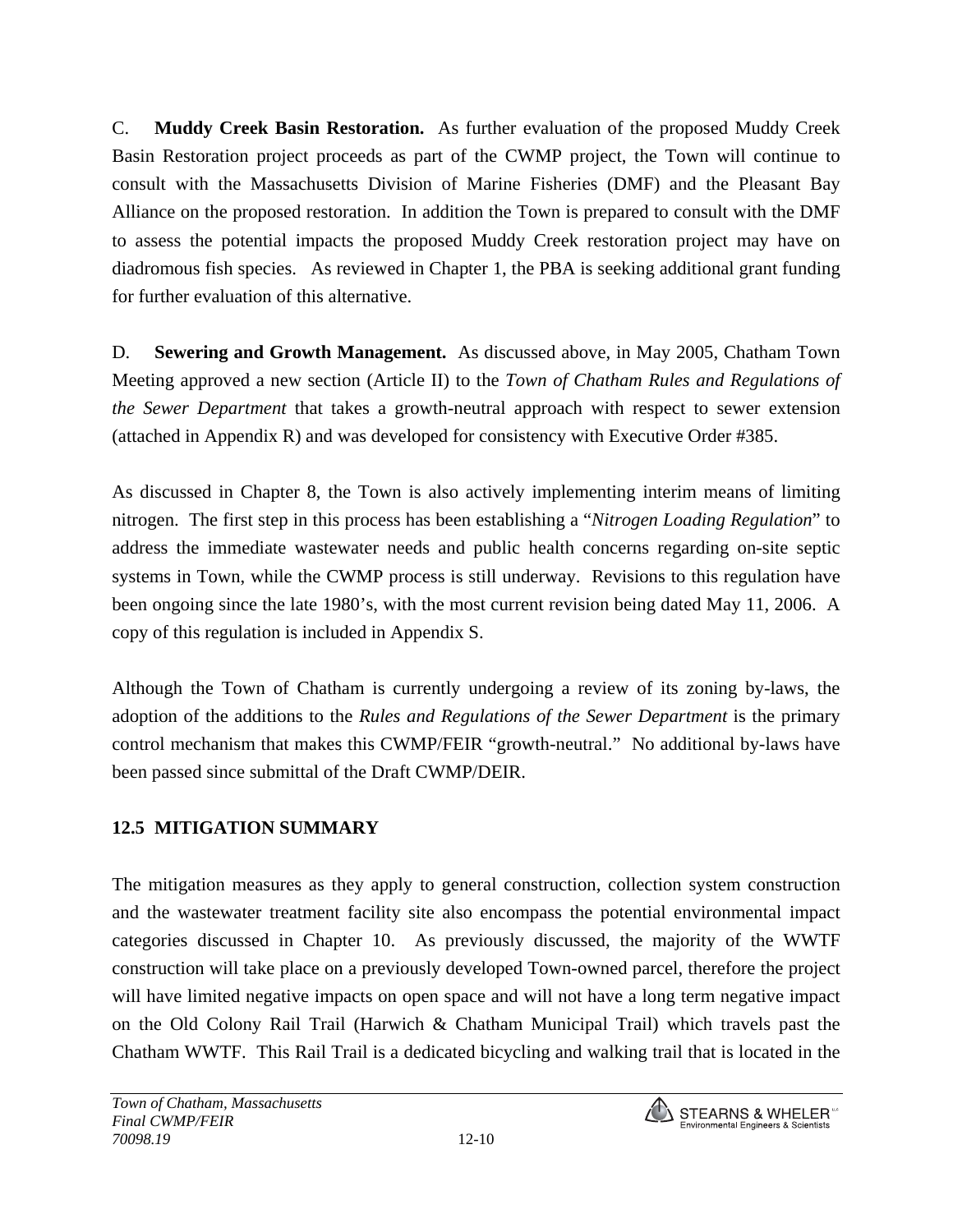C. **Muddy Creek Basin Restoration.** As further evaluation of the proposed Muddy Creek Basin Restoration project proceeds as part of the CWMP project, the Town will continue to consult with the Massachusetts Division of Marine Fisheries (DMF) and the Pleasant Bay Alliance on the proposed restoration. In addition the Town is prepared to consult with the DMF to assess the potential impacts the proposed Muddy Creek restoration project may have on diadromous fish species. As reviewed in Chapter 1, the PBA is seeking additional grant funding for further evaluation of this alternative.

D. **Sewering and Growth Management.** As discussed above, in May 2005, Chatham Town Meeting approved a new section (Article II) to the *Town of Chatham Rules and Regulations of the Sewer Department* that takes a growth-neutral approach with respect to sewer extension (attached in Appendix R) and was developed for consistency with Executive Order #385.

As discussed in Chapter 8, the Town is also actively implementing interim means of limiting nitrogen. The first step in this process has been establishing a "*Nitrogen Loading Regulation*" to address the immediate wastewater needs and public health concerns regarding on-site septic systems in Town, while the CWMP process is still underway. Revisions to this regulation have been ongoing since the late 1980's, with the most current revision being dated May 11, 2006. A copy of this regulation is included in Appendix S.

Although the Town of Chatham is currently undergoing a review of its zoning by-laws, the adoption of the additions to the *Rules and Regulations of the Sewer Department* is the primary control mechanism that makes this CWMP/FEIR "growth-neutral." No additional by-laws have been passed since submittal of the Draft CWMP/DEIR.

## **12.5 MITIGATION SUMMARY**

The mitigation measures as they apply to general construction, collection system construction and the wastewater treatment facility site also encompass the potential environmental impact categories discussed in Chapter 10. As previously discussed, the majority of the WWTF construction will take place on a previously developed Town-owned parcel, therefore the project will have limited negative impacts on open space and will not have a long term negative impact on the Old Colony Rail Trail (Harwich  $\&$  Chatham Municipal Trail) which travels past the Chatham WWTF. This Rail Trail is a dedicated bicycling and walking trail that is located in the